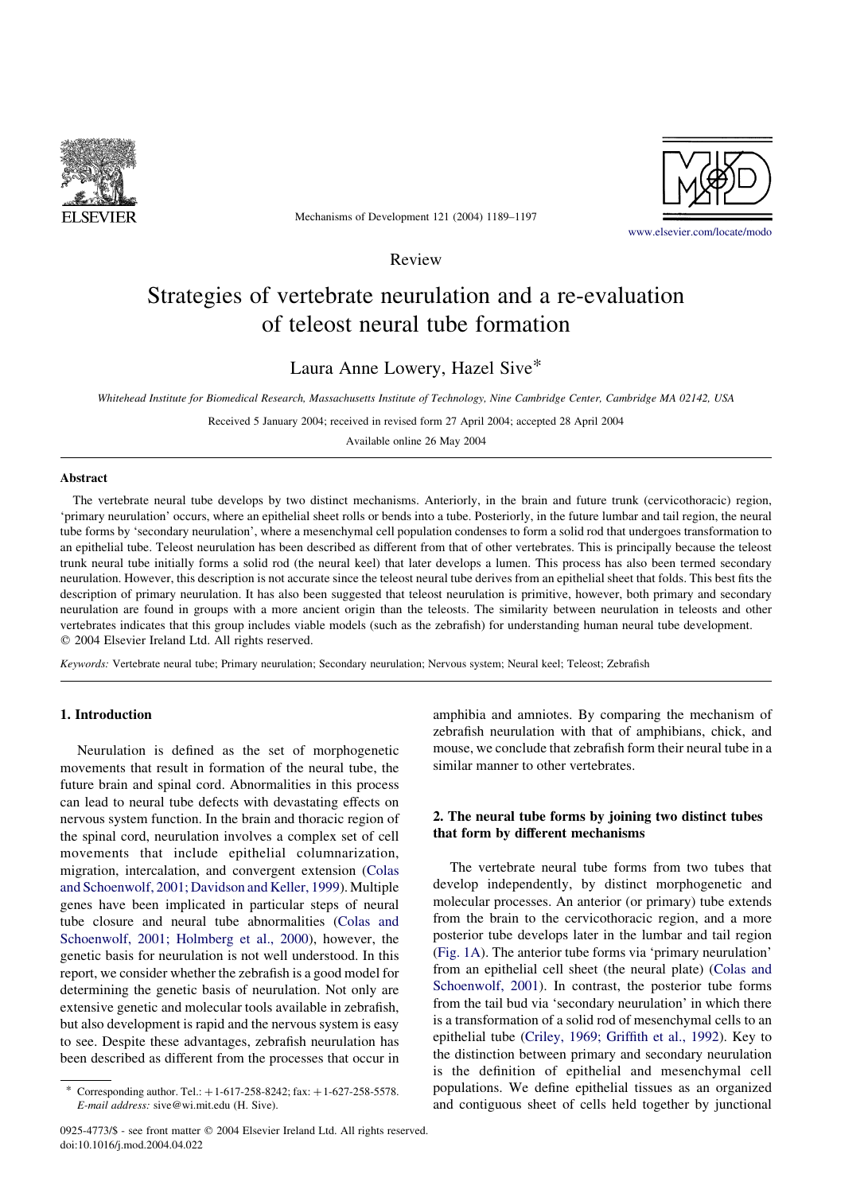

Mechanisms of Development 121 (2004) 1189–1197



[www.elsevier.com/locate/modo](http://www.elsevier.com/locate/modo)

Review

# Strategies of vertebrate neurulation and a re-evaluation of teleost neural tube formation

# Laura Anne Lowery, Hazel Sive\*

Whitehead Institute for Biomedical Research, Massachusetts Institute of Technology, Nine Cambridge Center, Cambridge MA 02142, USA

Received 5 January 2004; received in revised form 27 April 2004; accepted 28 April 2004

Available online 26 May 2004

#### Abstract

The vertebrate neural tube develops by two distinct mechanisms. Anteriorly, in the brain and future trunk (cervicothoracic) region, 'primary neurulation' occurs, where an epithelial sheet rolls or bends into a tube. Posteriorly, in the future lumbar and tail region, the neural tube forms by 'secondary neurulation', where a mesenchymal cell population condenses to form a solid rod that undergoes transformation to an epithelial tube. Teleost neurulation has been described as different from that of other vertebrates. This is principally because the teleost trunk neural tube initially forms a solid rod (the neural keel) that later develops a lumen. This process has also been termed secondary neurulation. However, this description is not accurate since the teleost neural tube derives from an epithelial sheet that folds. This best fits the description of primary neurulation. It has also been suggested that teleost neurulation is primitive, however, both primary and secondary neurulation are found in groups with a more ancient origin than the teleosts. The similarity between neurulation in teleosts and other vertebrates indicates that this group includes viable models (such as the zebrafish) for understanding human neural tube development.  $© 2004 Elsevier Ireland Ltd. All rights reserved.$ 

Keywords: Vertebrate neural tube; Primary neurulation; Secondary neurulation; Nervous system; Neural keel; Teleost; Zebrafish

#### 1. Introduction

Neurulation is defined as the set of morphogenetic movements that result in formation of the neural tube, the future brain and spinal cord. Abnormalities in this process can lead to neural tube defects with devastating effects on nervous system function. In the brain and thoracic region of the spinal cord, neurulation involves a complex set of cell movements that include epithelial columnarization, migration, intercalation, and convergent extension ([Colas](#page-7-0) [and Schoenwolf, 2001; Davidson and Keller, 1999\)](#page-7-0). Multiple genes have been implicated in particular steps of neural tube closure and neural tube abnormalities ([Colas and](#page-7-0) [Schoenwolf, 2001; Holmberg et al., 2000\)](#page-7-0), however, the genetic basis for neurulation is not well understood. In this report, we consider whether the zebrafish is a good model for determining the genetic basis of neurulation. Not only are extensive genetic and molecular tools available in zebrafish, but also development is rapid and the nervous system is easy to see. Despite these advantages, zebrafish neurulation has been described as different from the processes that occur in

amphibia and amniotes. By comparing the mechanism of zebrafish neurulation with that of amphibians, chick, and mouse, we conclude that zebrafish form their neural tube in a similar manner to other vertebrates.

# 2. The neural tube forms by joining two distinct tubes that form by different mechanisms

The vertebrate neural tube forms from two tubes that develop independently, by distinct morphogenetic and molecular processes. An anterior (or primary) tube extends from the brain to the cervicothoracic region, and a more posterior tube develops later in the lumbar and tail region ([Fig. 1A](#page-1-0)). The anterior tube forms via 'primary neurulation' from an epithelial cell sheet (the neural plate) ([Colas and](#page-7-0) [Schoenwolf, 2001](#page-7-0)). In contrast, the posterior tube forms from the tail bud via 'secondary neurulation' in which there is a transformation of a solid rod of mesenchymal cells to an epithelial tube ([Criley, 1969; Griffith et al., 1992](#page-7-0)). Key to the distinction between primary and secondary neurulation is the definition of epithelial and mesenchymal cell populations. We define epithelial tissues as an organized and contiguous sheet of cells held together by junctional

Corresponding author. Tel.:  $+1-617-258-8242$ ; fax:  $+1-627-258-5578$ . E-mail address: sive@wi.mit.edu (H. Sive).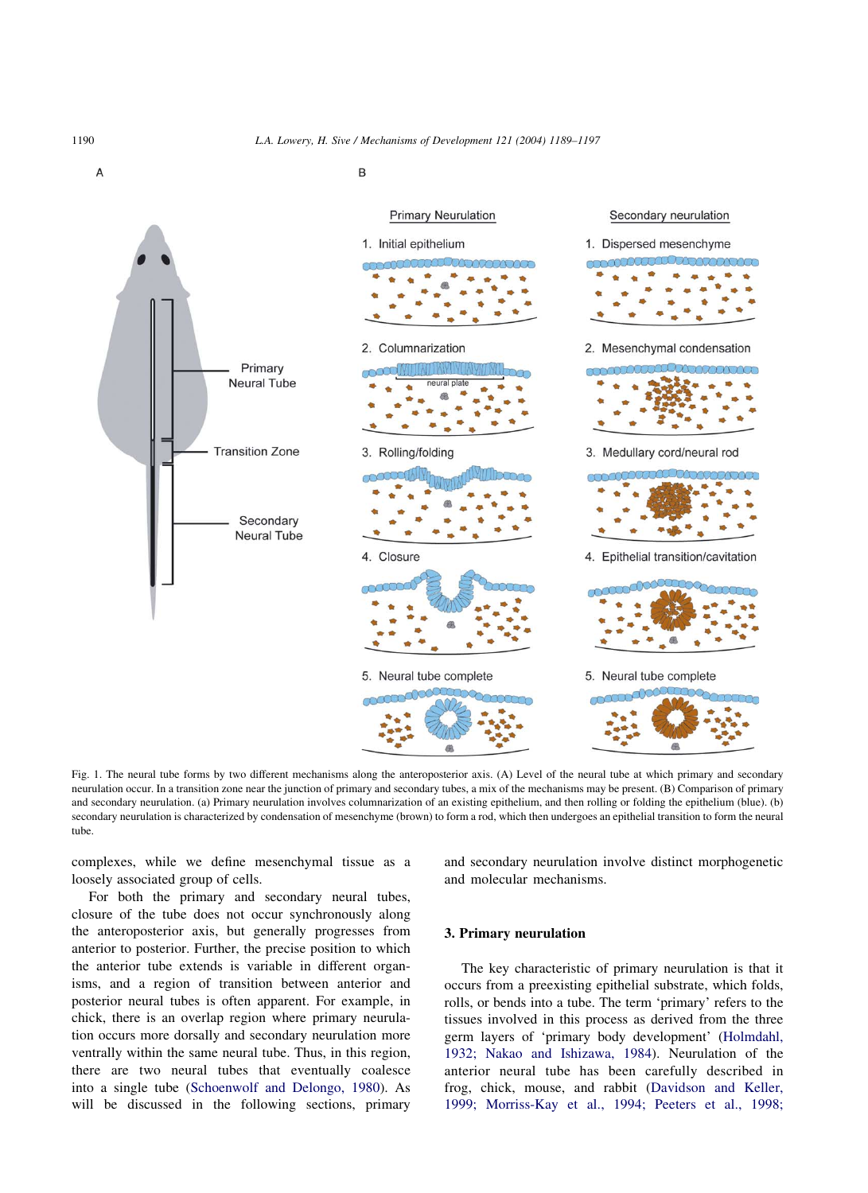<span id="page-1-0"></span>

R



Fig. 1. The neural tube forms by two different mechanisms along the anteroposterior axis. (A) Level of the neural tube at which primary and secondary neurulation occur. In a transition zone near the junction of primary and secondary tubes, a mix of the mechanisms may be present. (B) Comparison of primary and secondary neurulation. (a) Primary neurulation involves columnarization of an existing epithelium, and then rolling or folding the epithelium (blue). (b) secondary neurulation is characterized by condensation of mesenchyme (brown) to form a rod, which then undergoes an epithelial transition to form the neural tube.

complexes, while we define mesenchymal tissue as a loosely associated group of cells.

and secondary neurulation involve distinct morphogenetic and molecular mechanisms.

For both the primary and secondary neural tubes, closure of the tube does not occur synchronously along the anteroposterior axis, but generally progresses from anterior to posterior. Further, the precise position to which the anterior tube extends is variable in different organisms, and a region of transition between anterior and posterior neural tubes is often apparent. For example, in chick, there is an overlap region where primary neurulation occurs more dorsally and secondary neurulation more ventrally within the same neural tube. Thus, in this region, there are two neural tubes that eventually coalesce into a single tube ([Schoenwolf and Delongo, 1980](#page-8-0)). As will be discussed in the following sections, primary

#### 3. Primary neurulation

The key characteristic of primary neurulation is that it occurs from a preexisting epithelial substrate, which folds, rolls, or bends into a tube. The term 'primary' refers to the tissues involved in this process as derived from the three germ layers of 'primary body development' [\(Holmdahl,](#page-7-0) [1932; Nakao and Ishizawa, 1984\)](#page-7-0). Neurulation of the anterior neural tube has been carefully described in frog, chick, mouse, and rabbit [\(Davidson and Keller,](#page-7-0) [1999; Morriss-Kay et al., 1994; Peeters et al., 1998;](#page-7-0)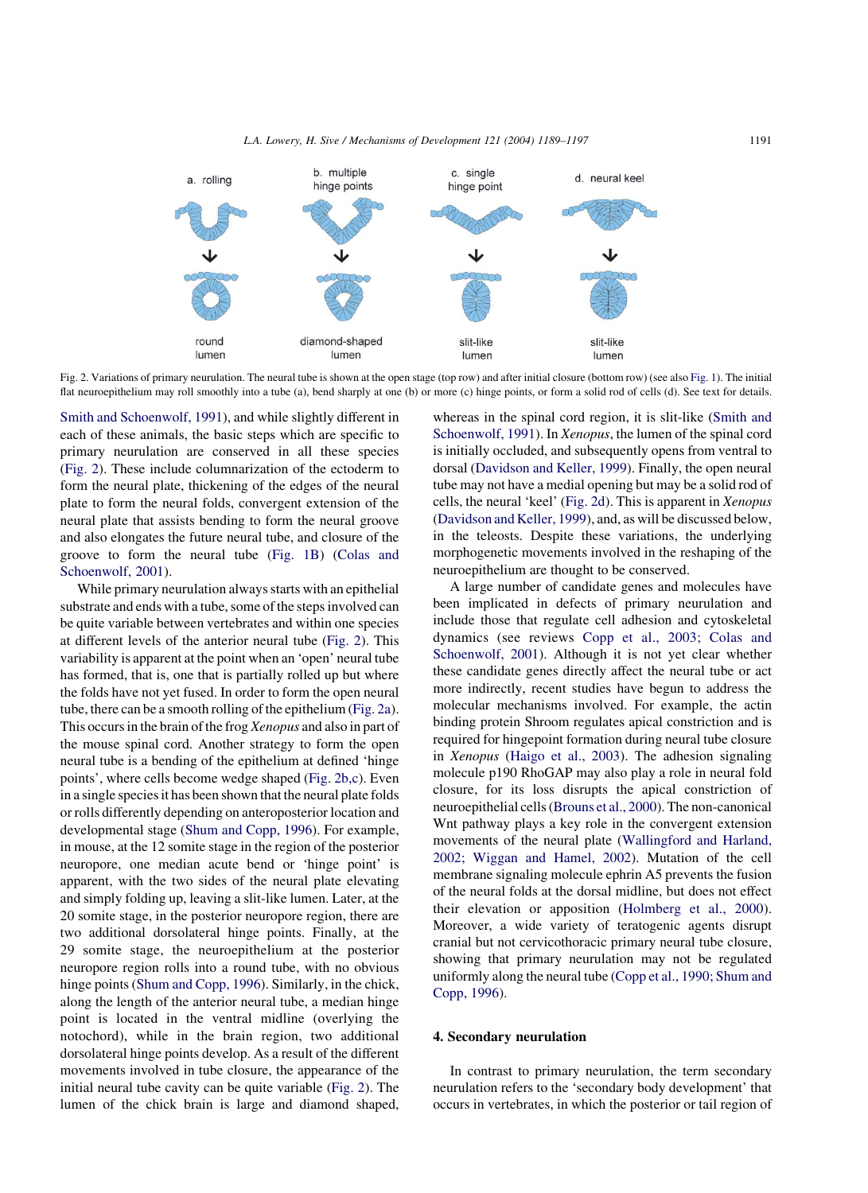<span id="page-2-0"></span>

Fig. 2. Variations of primary neurulation. The neural tube is shown at the open stage (top row) and after initial closure (bottom row) (see also [Fig. 1\)](#page-1-0). The initial flat neuroepithelium may roll smoothly into a tube (a), bend sharply at one (b) or more (c) hinge points, or form a solid rod of cells (d). See text for details.

[Smith and Schoenwolf, 1991](#page-7-0)), and while slightly different in each of these animals, the basic steps which are specific to primary neurulation are conserved in all these species (Fig. 2). These include columnarization of the ectoderm to form the neural plate, thickening of the edges of the neural plate to form the neural folds, convergent extension of the neural plate that assists bending to form the neural groove and also elongates the future neural tube, and closure of the groove to form the neural tube ([Fig. 1B\)](#page-1-0) [\(Colas and](#page-7-0) [Schoenwolf, 2001\)](#page-7-0).

While primary neurulation always starts with an epithelial substrate and ends with a tube, some of the steps involved can be quite variable between vertebrates and within one species at different levels of the anterior neural tube (Fig. 2). This variability is apparent at the point when an 'open' neural tube has formed, that is, one that is partially rolled up but where the folds have not yet fused. In order to form the open neural tube, there can be a smooth rolling of the epithelium (Fig. 2a). This occurs in the brain of the frog Xenopus and also in part of the mouse spinal cord. Another strategy to form the open neural tube is a bending of the epithelium at defined 'hinge points', where cells become wedge shaped (Fig. 2b,c). Even in a single species it has been shown that the neural plate folds or rolls differently depending on anteroposterior location and developmental stage ([Shum and Copp, 1996](#page-8-0)). For example, in mouse, at the 12 somite stage in the region of the posterior neuropore, one median acute bend or 'hinge point' is apparent, with the two sides of the neural plate elevating and simply folding up, leaving a slit-like lumen. Later, at the 20 somite stage, in the posterior neuropore region, there are two additional dorsolateral hinge points. Finally, at the 29 somite stage, the neuroepithelium at the posterior neuropore region rolls into a round tube, with no obvious hinge points [\(Shum and Copp, 1996\)](#page-8-0). Similarly, in the chick, along the length of the anterior neural tube, a median hinge point is located in the ventral midline (overlying the notochord), while in the brain region, two additional dorsolateral hinge points develop. As a result of the different movements involved in tube closure, the appearance of the initial neural tube cavity can be quite variable (Fig. 2). The lumen of the chick brain is large and diamond shaped,

whereas in the spinal cord region, it is slit-like [\(Smith and](#page-8-0) [Schoenwolf, 1991\)](#page-8-0). In Xenopus, the lumen of the spinal cord is initially occluded, and subsequently opens from ventral to dorsal ([Davidson and Keller, 1999](#page-7-0)). Finally, the open neural tube may not have a medial opening but may be a solid rod of cells, the neural 'keel' (Fig. 2d). This is apparent in Xenopus ([Davidson and Keller, 1999\)](#page-7-0), and, as will be discussed below, in the teleosts. Despite these variations, the underlying morphogenetic movements involved in the reshaping of the neuroepithelium are thought to be conserved.

A large number of candidate genes and molecules have been implicated in defects of primary neurulation and include those that regulate cell adhesion and cytoskeletal dynamics (see reviews [Copp et al., 2003; Colas and](#page-7-0) [Schoenwolf, 2001](#page-7-0)). Although it is not yet clear whether these candidate genes directly affect the neural tube or act more indirectly, recent studies have begun to address the molecular mechanisms involved. For example, the actin binding protein Shroom regulates apical constriction and is required for hingepoint formation during neural tube closure in Xenopus [\(Haigo et al., 2003](#page-7-0)). The adhesion signaling molecule p190 RhoGAP may also play a role in neural fold closure, for its loss disrupts the apical constriction of neuroepithelial cells ([Brouns et al., 2000](#page-7-0)). The non-canonical Wnt pathway plays a key role in the convergent extension movements of the neural plate ([Wallingford and Harland,](#page-8-0) [2002; Wiggan and Hamel, 2002](#page-8-0)). Mutation of the cell membrane signaling molecule ephrin A5 prevents the fusion of the neural folds at the dorsal midline, but does not effect their elevation or apposition ([Holmberg et al., 2000\)](#page-7-0). Moreover, a wide variety of teratogenic agents disrupt cranial but not cervicothoracic primary neural tube closure, showing that primary neurulation may not be regulated uniformly along the neural tube [\(Copp et al., 1990; Shum and](#page-7-0) [Copp, 1996](#page-7-0)).

#### 4. Secondary neurulation

In contrast to primary neurulation, the term secondary neurulation refers to the 'secondary body development' that occurs in vertebrates, in which the posterior or tail region of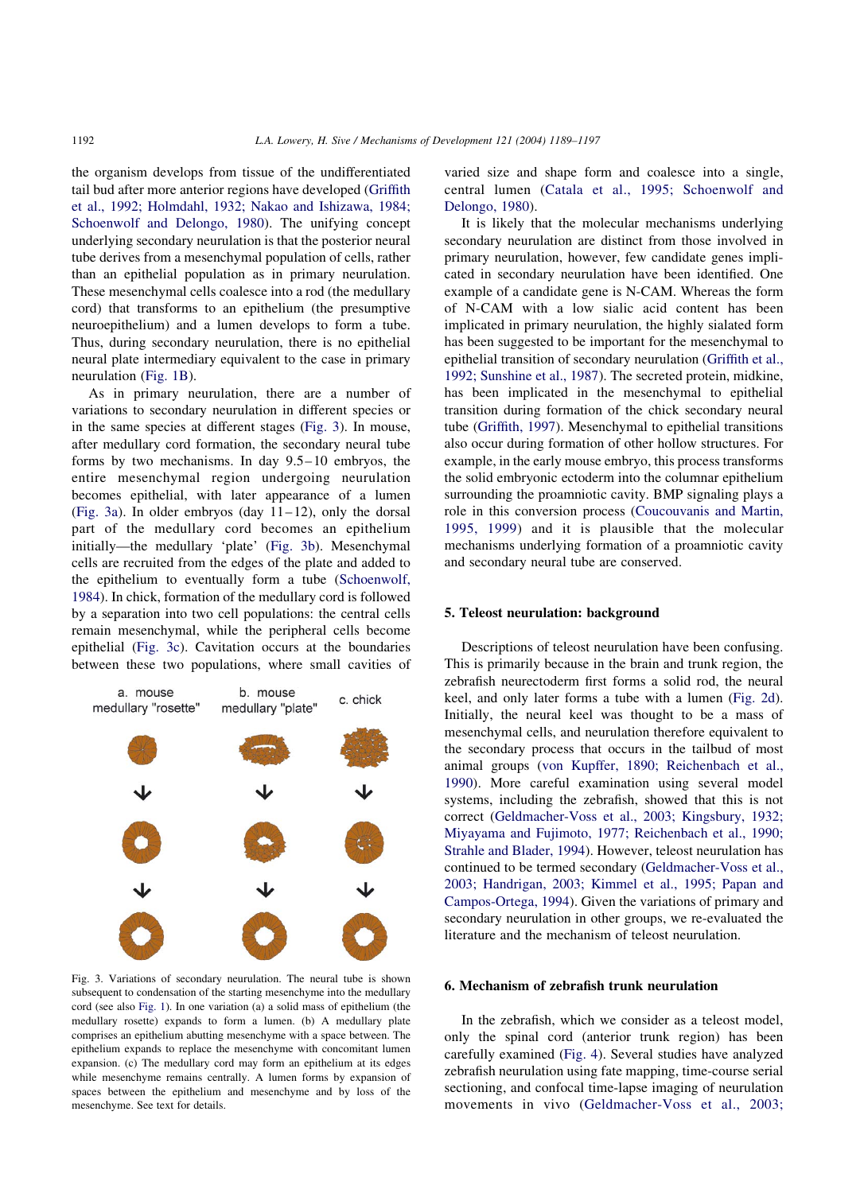the organism develops from tissue of the undifferentiated tail bud after more anterior regions have developed [\(Griffith](#page-7-0) [et al., 1992; Holmdahl, 1932; Nakao and Ishizawa, 1984;](#page-7-0) [Schoenwolf and Delongo, 1980](#page-7-0)). The unifying concept underlying secondary neurulation is that the posterior neural tube derives from a mesenchymal population of cells, rather than an epithelial population as in primary neurulation. These mesenchymal cells coalesce into a rod (the medullary cord) that transforms to an epithelium (the presumptive neuroepithelium) and a lumen develops to form a tube. Thus, during secondary neurulation, there is no epithelial neural plate intermediary equivalent to the case in primary neurulation ([Fig. 1B](#page-1-0)).

As in primary neurulation, there are a number of variations to secondary neurulation in different species or in the same species at different stages (Fig. 3). In mouse, after medullary cord formation, the secondary neural tube forms by two mechanisms. In day 9.5–10 embryos, the entire mesenchymal region undergoing neurulation becomes epithelial, with later appearance of a lumen (Fig. 3a). In older embryos (day  $11-12$ ), only the dorsal part of the medullary cord becomes an epithelium initially—the medullary 'plate' (Fig. 3b). Mesenchymal cells are recruited from the edges of the plate and added to the epithelium to eventually form a tube ([Schoenwolf,](#page-8-0) [1984\)](#page-8-0). In chick, formation of the medullary cord is followed by a separation into two cell populations: the central cells remain mesenchymal, while the peripheral cells become epithelial (Fig. 3c). Cavitation occurs at the boundaries between these two populations, where small cavities of



Fig. 3. Variations of secondary neurulation. The neural tube is shown subsequent to condensation of the starting mesenchyme into the medullary cord (see also [Fig. 1\)](#page-1-0). In one variation (a) a solid mass of epithelium (the medullary rosette) expands to form a lumen. (b) A medullary plate comprises an epithelium abutting mesenchyme with a space between. The epithelium expands to replace the mesenchyme with concomitant lumen expansion. (c) The medullary cord may form an epithelium at its edges while mesenchyme remains centrally. A lumen forms by expansion of spaces between the epithelium and mesenchyme and by loss of the mesenchyme. See text for details.

varied size and shape form and coalesce into a single, central lumen ([Catala et al., 1995; Schoenwolf and](#page-7-0) [Delongo, 1980](#page-7-0)).

It is likely that the molecular mechanisms underlying secondary neurulation are distinct from those involved in primary neurulation, however, few candidate genes implicated in secondary neurulation have been identified. One example of a candidate gene is N-CAM. Whereas the form of N-CAM with a low sialic acid content has been implicated in primary neurulation, the highly sialated form has been suggested to be important for the mesenchymal to epithelial transition of secondary neurulation ([Griffith et al.,](#page-7-0) [1992; Sunshine et al., 1987](#page-7-0)). The secreted protein, midkine, has been implicated in the mesenchymal to epithelial transition during formation of the chick secondary neural tube [\(Griffith, 1997](#page-7-0)). Mesenchymal to epithelial transitions also occur during formation of other hollow structures. For example, in the early mouse embryo, this process transforms the solid embryonic ectoderm into the columnar epithelium surrounding the proamniotic cavity. BMP signaling plays a role in this conversion process [\(Coucouvanis and Martin,](#page-7-0) [1995, 1999\)](#page-7-0) and it is plausible that the molecular mechanisms underlying formation of a proamniotic cavity and secondary neural tube are conserved.

#### 5. Teleost neurulation: background

Descriptions of teleost neurulation have been confusing. This is primarily because in the brain and trunk region, the zebrafish neurectoderm first forms a solid rod, the neural keel, and only later forms a tube with a lumen [\(Fig. 2d\)](#page-2-0). Initially, the neural keel was thought to be a mass of mesenchymal cells, and neurulation therefore equivalent to the secondary process that occurs in the tailbud of most animal groups ([von Kupffer, 1890; Reichenbach et al.,](#page-8-0) [1990\)](#page-8-0). More careful examination using several model systems, including the zebrafish, showed that this is not correct [\(Geldmacher-Voss et al., 2003; Kingsbury, 1932;](#page-7-0) [Miyayama and Fujimoto, 1977; Reichenbach et al., 1990;](#page-7-0) [Strahle and Blader, 1994\)](#page-7-0). However, teleost neurulation has continued to be termed secondary ([Geldmacher-Voss et al.,](#page-7-0) [2003; Handrigan, 2003; Kimmel et al., 1995; Papan and](#page-7-0) [Campos-Ortega, 1994\)](#page-7-0). Given the variations of primary and secondary neurulation in other groups, we re-evaluated the literature and the mechanism of teleost neurulation.

#### 6. Mechanism of zebrafish trunk neurulation

In the zebrafish, which we consider as a teleost model, only the spinal cord (anterior trunk region) has been carefully examined ([Fig. 4\)](#page-4-0). Several studies have analyzed zebrafish neurulation using fate mapping, time-course serial sectioning, and confocal time-lapse imaging of neurulation movements in vivo [\(Geldmacher-Voss et al., 2003;](#page-7-0)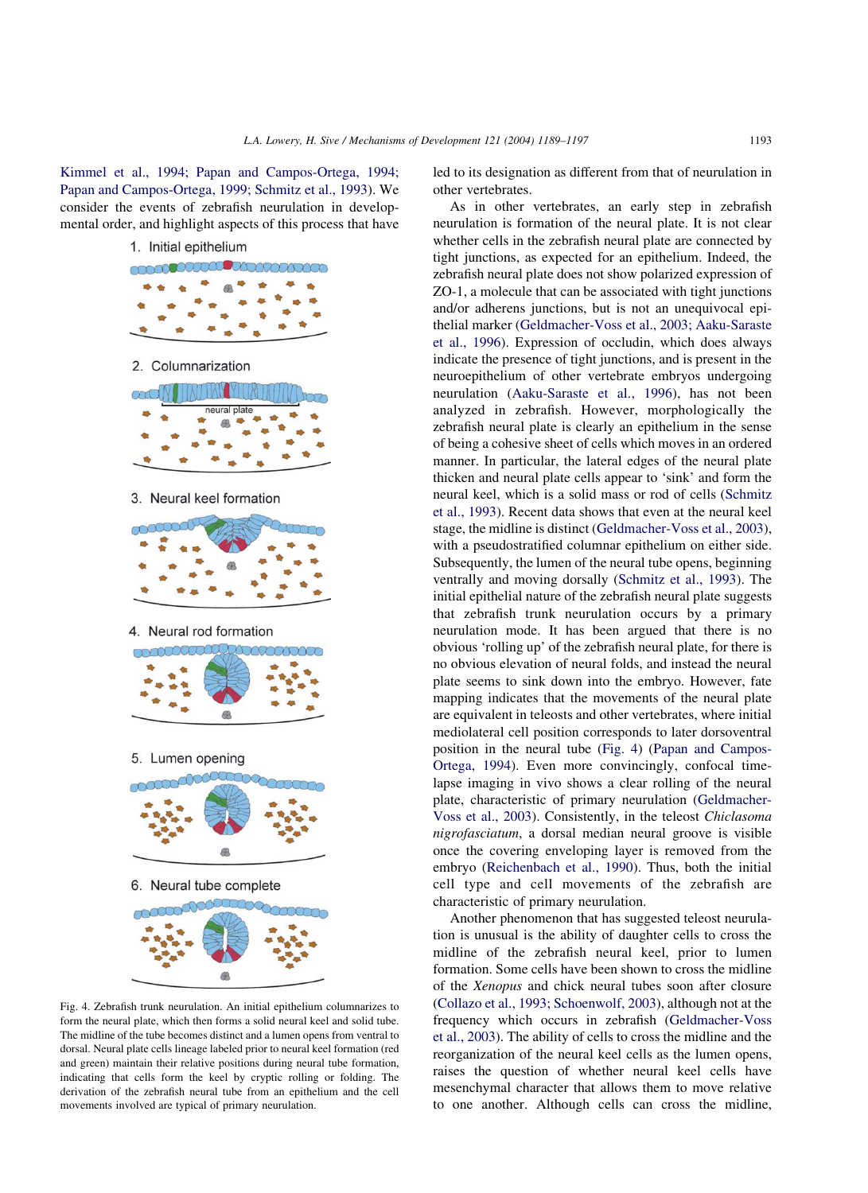<span id="page-4-0"></span>[Kimmel et al., 1994; Papan and Campos-Ortega, 1994;](#page-7-0) [Papan and Campos-Ortega, 1999; Schmitz et al., 1993](#page-7-0)). We consider the events of zebrafish neurulation in developmental order, and highlight aspects of this process that have



Fig. 4. Zebrafish trunk neurulation. An initial epithelium columnarizes to form the neural plate, which then forms a solid neural keel and solid tube. The midline of the tube becomes distinct and a lumen opens from ventral to dorsal. Neural plate cells lineage labeled prior to neural keel formation (red and green) maintain their relative positions during neural tube formation, indicating that cells form the keel by cryptic rolling or folding. The derivation of the zebrafish neural tube from an epithelium and the cell movements involved are typical of primary neurulation.

led to its designation as different from that of neurulation in other vertebrates.

As in other vertebrates, an early step in zebrafish neurulation is formation of the neural plate. It is not clear whether cells in the zebrafish neural plate are connected by tight junctions, as expected for an epithelium. Indeed, the zebrafish neural plate does not show polarized expression of ZO-1, a molecule that can be associated with tight junctions and/or adherens junctions, but is not an unequivocal epithelial marker [\(Geldmacher-Voss et al., 2003; Aaku-Saraste](#page-7-0) [et al., 1996](#page-7-0)). Expression of occludin, which does always indicate the presence of tight junctions, and is present in the neuroepithelium of other vertebrate embryos undergoing neurulation [\(Aaku-Saraste et al., 1996](#page-7-0)), has not been analyzed in zebrafish. However, morphologically the zebrafish neural plate is clearly an epithelium in the sense of being a cohesive sheet of cells which moves in an ordered manner. In particular, the lateral edges of the neural plate thicken and neural plate cells appear to 'sink' and form the neural keel, which is a solid mass or rod of cells ([Schmitz](#page-8-0) [et al., 1993](#page-8-0)). Recent data shows that even at the neural keel stage, the midline is distinct [\(Geldmacher-Voss et al., 2003\)](#page-7-0), with a pseudostratified columnar epithelium on either side. Subsequently, the lumen of the neural tube opens, beginning ventrally and moving dorsally [\(Schmitz et al., 1993\)](#page-8-0). The initial epithelial nature of the zebrafish neural plate suggests that zebrafish trunk neurulation occurs by a primary neurulation mode. It has been argued that there is no obvious 'rolling up' of the zebrafish neural plate, for there is no obvious elevation of neural folds, and instead the neural plate seems to sink down into the embryo. However, fate mapping indicates that the movements of the neural plate are equivalent in teleosts and other vertebrates, where initial mediolateral cell position corresponds to later dorsoventral position in the neural tube (Fig. 4) [\(Papan and Campos-](#page-8-0)[Ortega, 1994\)](#page-8-0). Even more convincingly, confocal timelapse imaging in vivo shows a clear rolling of the neural plate, characteristic of primary neurulation [\(Geldmacher-](#page-7-0)[Voss et al., 2003](#page-7-0)). Consistently, in the teleost Chiclasoma nigrofasciatum, a dorsal median neural groove is visible once the covering enveloping layer is removed from the embryo [\(Reichenbach et al., 1990\)](#page-8-0). Thus, both the initial cell type and cell movements of the zebrafish are characteristic of primary neurulation.

Another phenomenon that has suggested teleost neurulation is unusual is the ability of daughter cells to cross the midline of the zebrafish neural keel, prior to lumen formation. Some cells have been shown to cross the midline of the Xenopus and chick neural tubes soon after closure ([Collazo et al., 1993; Schoenwolf, 2003](#page-7-0)), although not at the frequency which occurs in zebrafish [\(Geldmacher-Voss](#page-7-0) [et al., 2003\)](#page-7-0). The ability of cells to cross the midline and the reorganization of the neural keel cells as the lumen opens, raises the question of whether neural keel cells have mesenchymal character that allows them to move relative to one another. Although cells can cross the midline,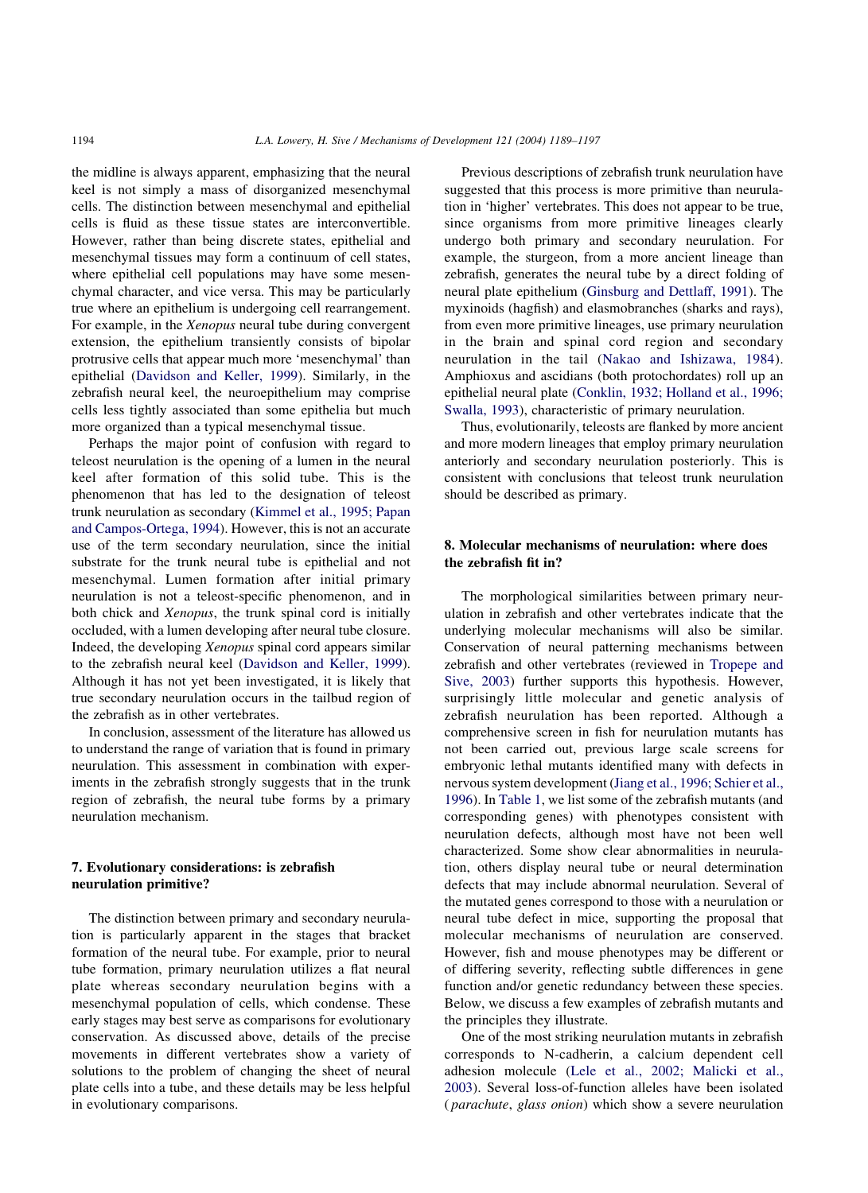the midline is always apparent, emphasizing that the neural keel is not simply a mass of disorganized mesenchymal cells. The distinction between mesenchymal and epithelial cells is fluid as these tissue states are interconvertible. However, rather than being discrete states, epithelial and mesenchymal tissues may form a continuum of cell states, where epithelial cell populations may have some mesenchymal character, and vice versa. This may be particularly true where an epithelium is undergoing cell rearrangement. For example, in the *Xenopus* neural tube during convergent extension, the epithelium transiently consists of bipolar protrusive cells that appear much more 'mesenchymal' than epithelial [\(Davidson and Keller, 1999](#page-7-0)). Similarly, in the zebrafish neural keel, the neuroepithelium may comprise cells less tightly associated than some epithelia but much more organized than a typical mesenchymal tissue.

Perhaps the major point of confusion with regard to teleost neurulation is the opening of a lumen in the neural keel after formation of this solid tube. This is the phenomenon that has led to the designation of teleost trunk neurulation as secondary ([Kimmel et al., 1995; Papan](#page-8-0) [and Campos-Ortega, 1994](#page-8-0)). However, this is not an accurate use of the term secondary neurulation, since the initial substrate for the trunk neural tube is epithelial and not mesenchymal. Lumen formation after initial primary neurulation is not a teleost-specific phenomenon, and in both chick and Xenopus, the trunk spinal cord is initially occluded, with a lumen developing after neural tube closure. Indeed, the developing Xenopus spinal cord appears similar to the zebrafish neural keel ([Davidson and Keller, 1999\)](#page-7-0). Although it has not yet been investigated, it is likely that true secondary neurulation occurs in the tailbud region of the zebrafish as in other vertebrates.

In conclusion, assessment of the literature has allowed us to understand the range of variation that is found in primary neurulation. This assessment in combination with experiments in the zebrafish strongly suggests that in the trunk region of zebrafish, the neural tube forms by a primary neurulation mechanism.

# 7. Evolutionary considerations: is zebrafish neurulation primitive?

The distinction between primary and secondary neurulation is particularly apparent in the stages that bracket formation of the neural tube. For example, prior to neural tube formation, primary neurulation utilizes a flat neural plate whereas secondary neurulation begins with a mesenchymal population of cells, which condense. These early stages may best serve as comparisons for evolutionary conservation. As discussed above, details of the precise movements in different vertebrates show a variety of solutions to the problem of changing the sheet of neural plate cells into a tube, and these details may be less helpful in evolutionary comparisons.

Previous descriptions of zebrafish trunk neurulation have suggested that this process is more primitive than neurulation in 'higher' vertebrates. This does not appear to be true, since organisms from more primitive lineages clearly undergo both primary and secondary neurulation. For example, the sturgeon, from a more ancient lineage than zebrafish, generates the neural tube by a direct folding of neural plate epithelium ([Ginsburg and Dettlaff, 1991](#page-7-0)). The myxinoids (hagfish) and elasmobranches (sharks and rays), from even more primitive lineages, use primary neurulation in the brain and spinal cord region and secondary neurulation in the tail ([Nakao and Ishizawa, 1984\)](#page-8-0). Amphioxus and ascidians (both protochordates) roll up an epithelial neural plate [\(Conklin, 1932; Holland et al., 1996;](#page-7-0) [Swalla, 1993](#page-7-0)), characteristic of primary neurulation.

Thus, evolutionarily, teleosts are flanked by more ancient and more modern lineages that employ primary neurulation anteriorly and secondary neurulation posteriorly. This is consistent with conclusions that teleost trunk neurulation should be described as primary.

### 8. Molecular mechanisms of neurulation: where does the zebrafish fit in?

The morphological similarities between primary neurulation in zebrafish and other vertebrates indicate that the underlying molecular mechanisms will also be similar. Conservation of neural patterning mechanisms between zebrafish and other vertebrates (reviewed in [Tropepe and](#page-8-0) [Sive, 2003\)](#page-8-0) further supports this hypothesis. However, surprisingly little molecular and genetic analysis of zebrafish neurulation has been reported. Although a comprehensive screen in fish for neurulation mutants has not been carried out, previous large scale screens for embryonic lethal mutants identified many with defects in nervous system development [\(Jiang et al., 1996; Schier et al.,](#page-8-0) [1996\)](#page-8-0). In [Table 1,](#page-6-0) we list some of the zebrafish mutants (and corresponding genes) with phenotypes consistent with neurulation defects, although most have not been well characterized. Some show clear abnormalities in neurulation, others display neural tube or neural determination defects that may include abnormal neurulation. Several of the mutated genes correspond to those with a neurulation or neural tube defect in mice, supporting the proposal that molecular mechanisms of neurulation are conserved. However, fish and mouse phenotypes may be different or of differing severity, reflecting subtle differences in gene function and/or genetic redundancy between these species. Below, we discuss a few examples of zebrafish mutants and the principles they illustrate.

One of the most striking neurulation mutants in zebrafish corresponds to N-cadherin, a calcium dependent cell adhesion molecule ([Lele et al., 2002; Malicki et al.,](#page-8-0) [2003\)](#page-8-0). Several loss-of-function alleles have been isolated ( parachute, glass onion) which show a severe neurulation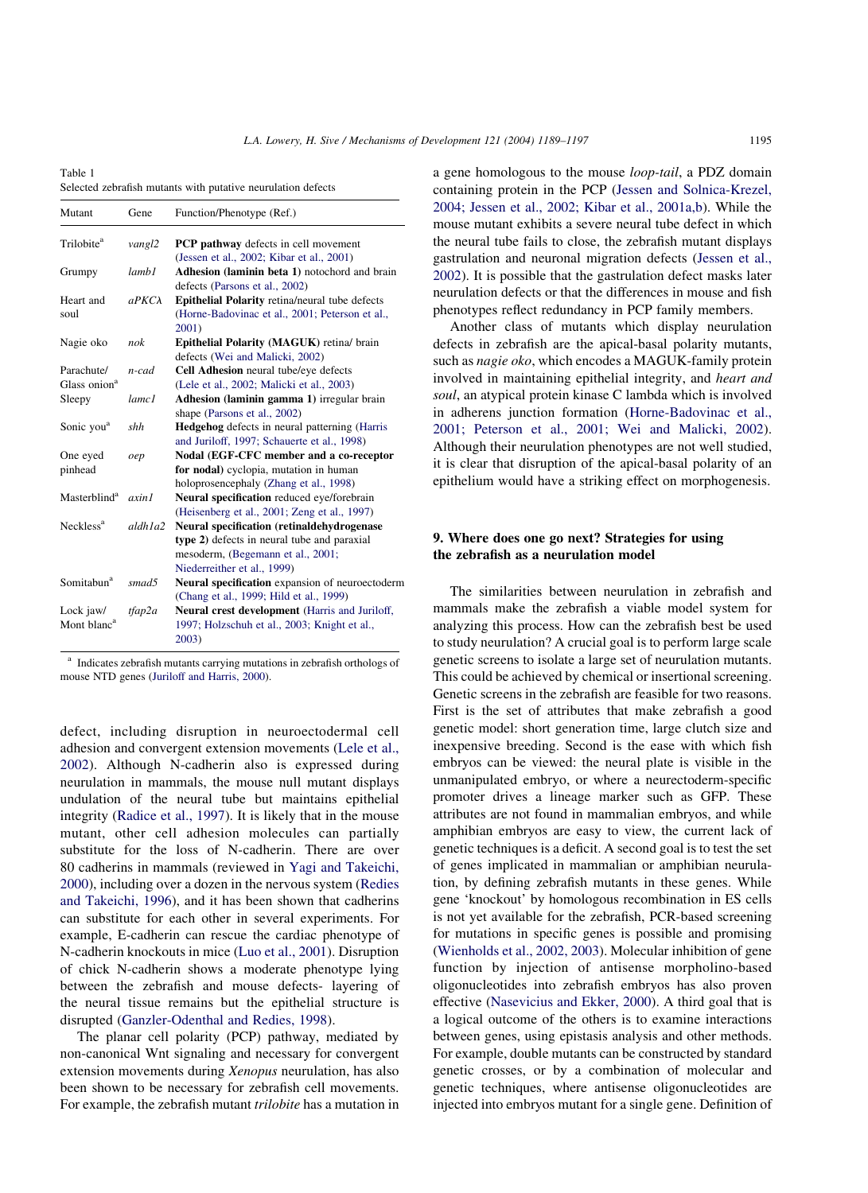<span id="page-6-0"></span>Table 1 Selected zebrafish mutants with putative neurulation defects

| Mutant                   | Gene              | Function/Phenotype (Ref.)                             |
|--------------------------|-------------------|-------------------------------------------------------|
| Trilobite <sup>a</sup>   | vangl2            | PCP pathway defects in cell movement                  |
|                          |                   | (Jessen et al., 2002; Kibar et al., 2001)             |
| Grumpy                   | lamb1             | Adhesion (laminin beta 1) notochord and brain         |
|                          |                   | defects (Parsons et al., 2002)                        |
| Heart and                | $a P K C \lambda$ | <b>Epithelial Polarity</b> retina/neural tube defects |
| soul                     |                   | (Horne-Badovinac et al., 2001; Peterson et al.,       |
|                          |                   | 2001)                                                 |
| Nagie oko                | nok               | Epithelial Polarity (MAGUK) retina/ brain             |
|                          |                   | defects (Wei and Malicki, 2002)                       |
| Parachute/               | n-cad             | Cell Adhesion neural tube/eye defects                 |
| Glass onion <sup>a</sup> |                   | (Lele et al., 2002; Malicki et al., 2003)             |
| Sleepy                   | lamc1             | Adhesion (laminin gamma 1) irregular brain            |
|                          |                   | shape (Parsons et al., 2002)                          |
| Sonic you <sup>a</sup>   | shh               | <b>Hedgehog</b> defects in neural patterning (Harris  |
|                          |                   | and Juriloff, 1997; Schauerte et al., 1998)           |
| One eyed                 | oep               | Nodal (EGF-CFC member and a co-receptor               |
| pinhead                  |                   | for nodal) cyclopia, mutation in human                |
|                          |                   | holoprosencephaly (Zhang et al., 1998)                |
| Masterblind <sup>a</sup> | axin1             | Neural specification reduced eye/forebrain            |
|                          |                   | (Heisenberg et al., 2001; Zeng et al., 1997)          |
| Neckless <sup>a</sup>    | aldh1a2           | Neural specification (retinaldehydrogenase            |
|                          |                   | type 2) defects in neural tube and paraxial           |
|                          |                   | mesoderm, (Begemann et al., 2001;                     |
|                          |                   | Niederreither et al., 1999)                           |
| Somitabun <sup>a</sup>   | smad5             | Neural specification expansion of neuroectoderm       |
|                          |                   | (Chang et al., 1999; Hild et al., 1999)               |
| Lock jaw/                | tfap2a            | Neural crest development (Harris and Juriloff,        |
| Mont blanc <sup>a</sup>  |                   | 1997; Holzschuh et al., 2003; Knight et al.,          |
|                          |                   | 2003)                                                 |

<sup>a</sup> Indicates zebrafish mutants carrying mutations in zebrafish orthologs of mouse NTD genes ([Juriloff and Harris, 2000](#page-8-0)).

defect, including disruption in neuroectodermal cell adhesion and convergent extension movements ([Lele et al.,](#page-8-0) [2002\)](#page-8-0). Although N-cadherin also is expressed during neurulation in mammals, the mouse null mutant displays undulation of the neural tube but maintains epithelial integrity ([Radice et al., 1997\)](#page-8-0). It is likely that in the mouse mutant, other cell adhesion molecules can partially substitute for the loss of N-cadherin. There are over 80 cadherins in mammals (reviewed in [Yagi and Takeichi,](#page-8-0) [2000](#page-8-0)), including over a dozen in the nervous system [\(Redies](#page-8-0) [and Takeichi, 1996](#page-8-0)), and it has been shown that cadherins can substitute for each other in several experiments. For example, E-cadherin can rescue the cardiac phenotype of N-cadherin knockouts in mice [\(Luo et al., 2001\)](#page-8-0). Disruption of chick N-cadherin shows a moderate phenotype lying between the zebrafish and mouse defects- layering of the neural tissue remains but the epithelial structure is disrupted [\(Ganzler-Odenthal and Redies, 1998\)](#page-7-0).

The planar cell polarity (PCP) pathway, mediated by non-canonical Wnt signaling and necessary for convergent extension movements during Xenopus neurulation, has also been shown to be necessary for zebrafish cell movements. For example, the zebrafish mutant trilobite has a mutation in

a gene homologous to the mouse loop-tail, a PDZ domain containing protein in the PCP [\(Jessen and Solnica-Krezel,](#page-7-0) [2004; Jessen et al., 2002; Kibar et al., 2001a,b\)](#page-7-0). While the mouse mutant exhibits a severe neural tube defect in which the neural tube fails to close, the zebrafish mutant displays gastrulation and neuronal migration defects [\(Jessen et al.,](#page-7-0) [2002](#page-7-0)). It is possible that the gastrulation defect masks later neurulation defects or that the differences in mouse and fish phenotypes reflect redundancy in PCP family members.

Another class of mutants which display neurulation defects in zebrafish are the apical-basal polarity mutants, such as *nagie oko*, which encodes a MAGUK-family protein involved in maintaining epithelial integrity, and heart and soul, an atypical protein kinase C lambda which is involved in adherens junction formation [\(Horne-Badovinac et al.,](#page-7-0) [2001; Peterson et al., 2001; Wei and Malicki, 2002\)](#page-7-0). Although their neurulation phenotypes are not well studied, it is clear that disruption of the apical-basal polarity of an epithelium would have a striking effect on morphogenesis.

## 9. Where does one go next? Strategies for using the zebrafish as a neurulation model

The similarities between neurulation in zebrafish and mammals make the zebrafish a viable model system for analyzing this process. How can the zebrafish best be used to study neurulation? A crucial goal is to perform large scale genetic screens to isolate a large set of neurulation mutants. This could be achieved by chemical or insertional screening. Genetic screens in the zebrafish are feasible for two reasons. First is the set of attributes that make zebrafish a good genetic model: short generation time, large clutch size and inexpensive breeding. Second is the ease with which fish embryos can be viewed: the neural plate is visible in the unmanipulated embryo, or where a neurectoderm-specific promoter drives a lineage marker such as GFP. These attributes are not found in mammalian embryos, and while amphibian embryos are easy to view, the current lack of genetic techniques is a deficit. A second goal is to test the set of genes implicated in mammalian or amphibian neurulation, by defining zebrafish mutants in these genes. While gene 'knockout' by homologous recombination in ES cells is not yet available for the zebrafish, PCR-based screening for mutations in specific genes is possible and promising ([Wienholds et al., 2002, 2003\)](#page-8-0). Molecular inhibition of gene function by injection of antisense morpholino-based oligonucleotides into zebrafish embryos has also proven effective [\(Nasevicius and Ekker, 2000\)](#page-8-0). A third goal that is a logical outcome of the others is to examine interactions between genes, using epistasis analysis and other methods. For example, double mutants can be constructed by standard genetic crosses, or by a combination of molecular and genetic techniques, where antisense oligonucleotides are injected into embryos mutant for a single gene. Definition of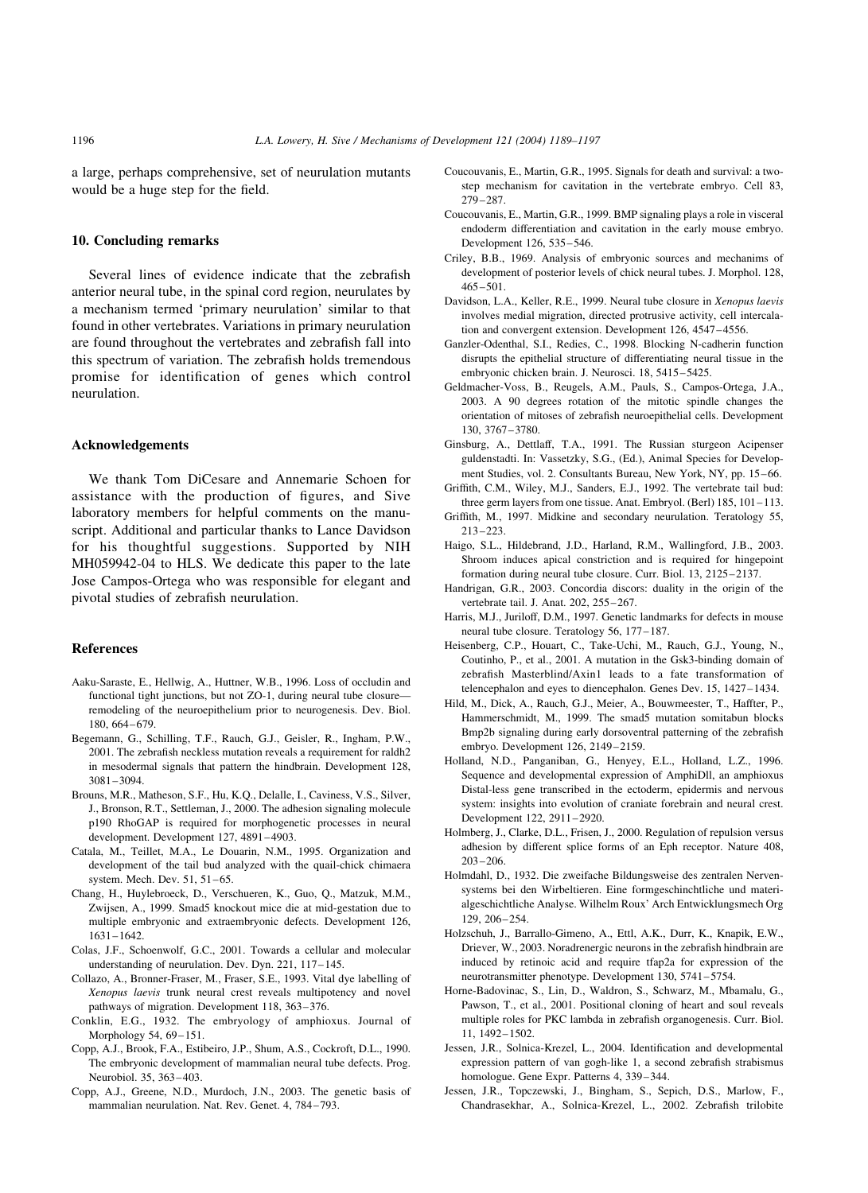<span id="page-7-0"></span>a large, perhaps comprehensive, set of neurulation mutants would be a huge step for the field.

#### 10. Concluding remarks

Several lines of evidence indicate that the zebrafish anterior neural tube, in the spinal cord region, neurulates by a mechanism termed 'primary neurulation' similar to that found in other vertebrates. Variations in primary neurulation are found throughout the vertebrates and zebrafish fall into this spectrum of variation. The zebrafish holds tremendous promise for identification of genes which control neurulation.

#### Acknowledgements

We thank Tom DiCesare and Annemarie Schoen for assistance with the production of figures, and Sive laboratory members for helpful comments on the manuscript. Additional and particular thanks to Lance Davidson for his thoughtful suggestions. Supported by NIH MH059942-04 to HLS. We dedicate this paper to the late Jose Campos-Ortega who was responsible for elegant and pivotal studies of zebrafish neurulation.

#### References

- Aaku-Saraste, E., Hellwig, A., Huttner, W.B., 1996. Loss of occludin and functional tight junctions, but not ZO-1, during neural tube closure remodeling of the neuroepithelium prior to neurogenesis. Dev. Biol. 180, 664–679.
- Begemann, G., Schilling, T.F., Rauch, G.J., Geisler, R., Ingham, P.W., 2001. The zebrafish neckless mutation reveals a requirement for raldh2 in mesodermal signals that pattern the hindbrain. Development 128, 3081–3094.
- Brouns, M.R., Matheson, S.F., Hu, K.Q., Delalle, I., Caviness, V.S., Silver, J., Bronson, R.T., Settleman, J., 2000. The adhesion signaling molecule p190 RhoGAP is required for morphogenetic processes in neural development. Development 127, 4891–4903.
- Catala, M., Teillet, M.A., Le Douarin, N.M., 1995. Organization and development of the tail bud analyzed with the quail-chick chimaera system. Mech. Dev. 51, 51–65.
- Chang, H., Huylebroeck, D., Verschueren, K., Guo, Q., Matzuk, M.M., Zwijsen, A., 1999. Smad5 knockout mice die at mid-gestation due to multiple embryonic and extraembryonic defects. Development 126, 1631–1642.
- Colas, J.F., Schoenwolf, G.C., 2001. Towards a cellular and molecular understanding of neurulation. Dev. Dyn. 221, 117–145.
- Collazo, A., Bronner-Fraser, M., Fraser, S.E., 1993. Vital dye labelling of Xenopus laevis trunk neural crest reveals multipotency and novel pathways of migration. Development 118, 363–376.
- Conklin, E.G., 1932. The embryology of amphioxus. Journal of Morphology 54, 69-151.
- Copp, A.J., Brook, F.A., Estibeiro, J.P., Shum, A.S., Cockroft, D.L., 1990. The embryonic development of mammalian neural tube defects. Prog. Neurobiol. 35, 363–403.
- Copp, A.J., Greene, N.D., Murdoch, J.N., 2003. The genetic basis of mammalian neurulation. Nat. Rev. Genet. 4, 784–793.
- Coucouvanis, E., Martin, G.R., 1995. Signals for death and survival: a twostep mechanism for cavitation in the vertebrate embryo. Cell 83, 279–287.
- Coucouvanis, E., Martin, G.R., 1999. BMP signaling plays a role in visceral endoderm differentiation and cavitation in the early mouse embryo. Development 126, 535–546.
- Criley, B.B., 1969. Analysis of embryonic sources and mechanims of development of posterior levels of chick neural tubes. J. Morphol. 128, 465–501.
- Davidson, L.A., Keller, R.E., 1999. Neural tube closure in Xenopus laevis involves medial migration, directed protrusive activity, cell intercalation and convergent extension. Development 126, 4547–4556.
- Ganzler-Odenthal, S.I., Redies, C., 1998. Blocking N-cadherin function disrupts the epithelial structure of differentiating neural tissue in the embryonic chicken brain. J. Neurosci. 18, 5415–5425.
- Geldmacher-Voss, B., Reugels, A.M., Pauls, S., Campos-Ortega, J.A., 2003. A 90 degrees rotation of the mitotic spindle changes the orientation of mitoses of zebrafish neuroepithelial cells. Development 130, 3767–3780.
- Ginsburg, A., Dettlaff, T.A., 1991. The Russian sturgeon Acipenser guldenstadti. In: Vassetzky, S.G., (Ed.), Animal Species for Development Studies, vol. 2. Consultants Bureau, New York, NY, pp. 15–66.
- Griffith, C.M., Wiley, M.J., Sanders, E.J., 1992. The vertebrate tail bud: three germ layers from one tissue. Anat. Embryol. (Berl) 185, 101–113.
- Griffith, M., 1997. Midkine and secondary neurulation. Teratology 55, 213–223.
- Haigo, S.L., Hildebrand, J.D., Harland, R.M., Wallingford, J.B., 2003. Shroom induces apical constriction and is required for hingepoint formation during neural tube closure. Curr. Biol. 13, 2125–2137.
- Handrigan, G.R., 2003. Concordia discors: duality in the origin of the vertebrate tail. J. Anat. 202, 255–267.
- Harris, M.J., Juriloff, D.M., 1997. Genetic landmarks for defects in mouse neural tube closure. Teratology 56, 177–187.
- Heisenberg, C.P., Houart, C., Take-Uchi, M., Rauch, G.J., Young, N., Coutinho, P., et al., 2001. A mutation in the Gsk3-binding domain of zebrafish Masterblind/Axin1 leads to a fate transformation of telencephalon and eyes to diencephalon. Genes Dev. 15, 1427–1434.
- Hild, M., Dick, A., Rauch, G.J., Meier, A., Bouwmeester, T., Haffter, P., Hammerschmidt, M., 1999. The smad5 mutation somitabun blocks Bmp2b signaling during early dorsoventral patterning of the zebrafish embryo. Development 126, 2149–2159.
- Holland, N.D., Panganiban, G., Henyey, E.L., Holland, L.Z., 1996. Sequence and developmental expression of AmphiDll, an amphioxus Distal-less gene transcribed in the ectoderm, epidermis and nervous system: insights into evolution of craniate forebrain and neural crest. Development 122, 2911–2920.
- Holmberg, J., Clarke, D.L., Frisen, J., 2000. Regulation of repulsion versus adhesion by different splice forms of an Eph receptor. Nature 408, 203–206.
- Holmdahl, D., 1932. Die zweifache Bildungsweise des zentralen Nervensystems bei den Wirbeltieren. Eine formgeschinchtliche und materialgeschichtliche Analyse. Wilhelm Roux' Arch Entwicklungsmech Org 129, 206–254.
- Holzschuh, J., Barrallo-Gimeno, A., Ettl, A.K., Durr, K., Knapik, E.W., Driever, W., 2003. Noradrenergic neurons in the zebrafish hindbrain are induced by retinoic acid and require tfap2a for expression of the neurotransmitter phenotype. Development 130, 5741–5754.
- Horne-Badovinac, S., Lin, D., Waldron, S., Schwarz, M., Mbamalu, G., Pawson, T., et al., 2001. Positional cloning of heart and soul reveals multiple roles for PKC lambda in zebrafish organogenesis. Curr. Biol. 11, 1492–1502.
- Jessen, J.R., Solnica-Krezel, L., 2004. Identification and developmental expression pattern of van gogh-like 1, a second zebrafish strabismus homologue. Gene Expr. Patterns 4, 339–344.
- Jessen, J.R., Topczewski, J., Bingham, S., Sepich, D.S., Marlow, F., Chandrasekhar, A., Solnica-Krezel, L., 2002. Zebrafish trilobite